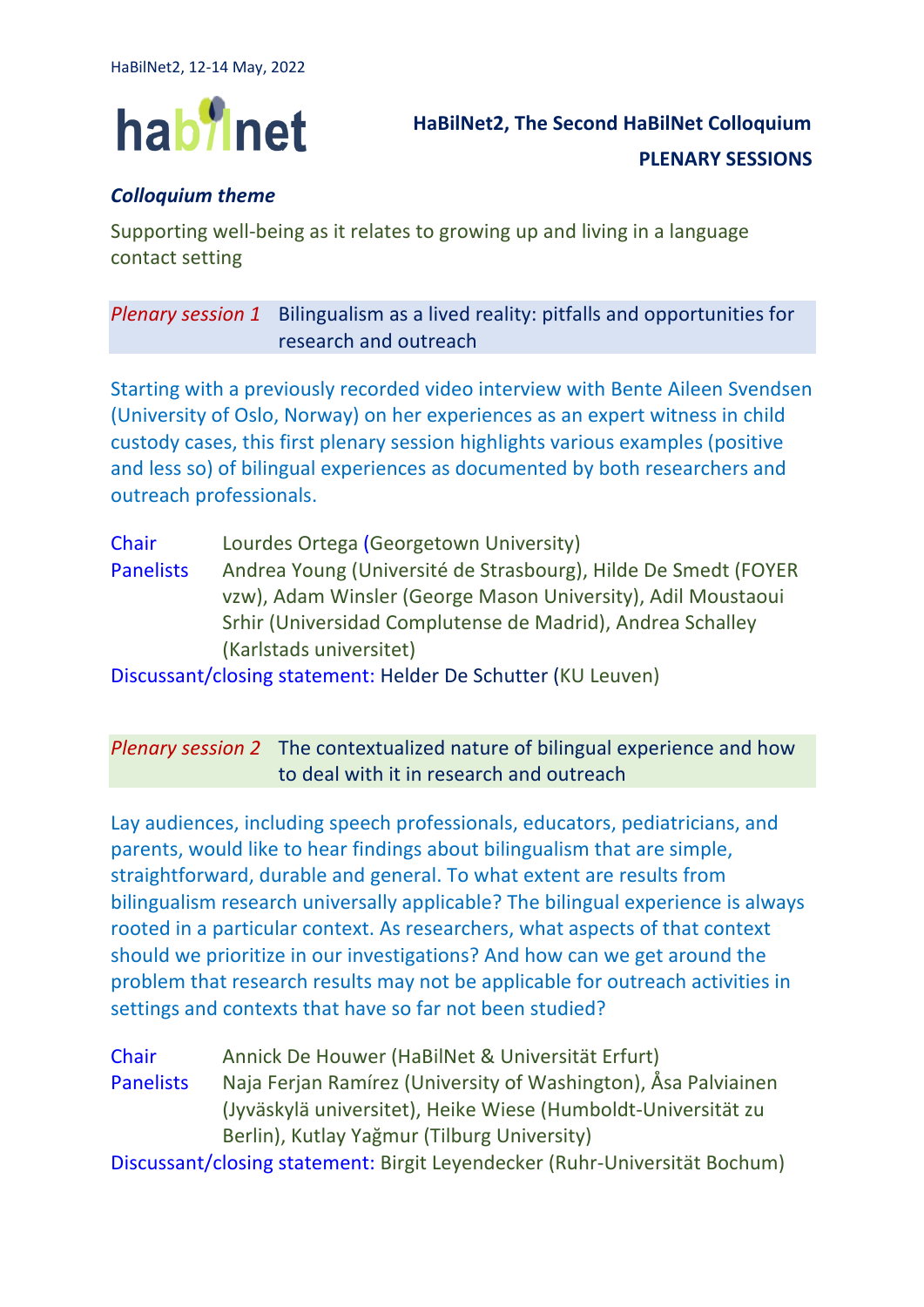

## *Colloquium theme*

Supporting well-being as it relates to growing up and living in a language contact setting

## *Plenary session 1* Bilingualism as a lived reality: pitfalls and opportunities for research and outreach

Starting with a previously recorded video interview with Bente Aileen Svendsen (University of Oslo, Norway) on her experiences as an expert witness in child custody cases, this first plenary session highlights various examples (positive and less so) of bilingual experiences as documented by both researchers and outreach professionals.

- Chair Lourdes Ortega (Georgetown University)
- Panelists Andrea Young (Université de Strasbourg), Hilde De Smedt (FOYER vzw), Adam Winsler (George Mason University), Adil Moustaoui Srhir (Universidad Complutense de Madrid), Andrea Schalley (Karlstads universitet)

Discussant/closing statement: Helder De Schutter (KU Leuven)

## *Plenary session 2* The contextualized nature of bilingual experience and how to deal with it in research and outreach

Lay audiences, including speech professionals, educators, pediatricians, and parents, would like to hear findings about bilingualism that are simple, straightforward, durable and general. To what extent are results from bilingualism research universally applicable? The bilingual experience is always rooted in a particular context. As researchers, what aspects of that context should we prioritize in our investigations? And how can we get around the problem that research results may not be applicable for outreach activities in settings and contexts that have so far not been studied?

Chair Annick De Houwer (HaBilNet & Universität Erfurt) Panelists Naja Ferjan Ramírez (University of Washington), Åsa Palviainen (Jyväskylä universitet), Heike Wiese (Humboldt-Universität zu Berlin), Kutlay Yağmur (Tilburg University)

Discussant/closing statement: Birgit Leyendecker (Ruhr-Universität Bochum)